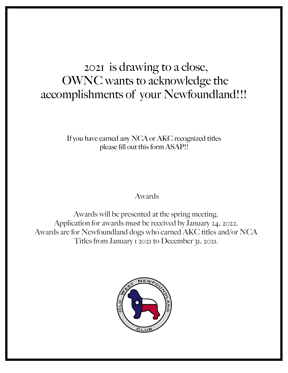## 2021 is drawing to a close, OWNC wants to acknowledge the accomplishments of your Newfoundland!!!

If you have earned any NCA or AKC recognized titles please fill out this form ASAP!!

Awards

Awards will be presented at the spring meeting. Application for awards must be received by January 24, 2022. Awards are for Newfoundland dogs who earned AKC titles and/or NCA Titles from January 1 2021 to December 31, 2021.

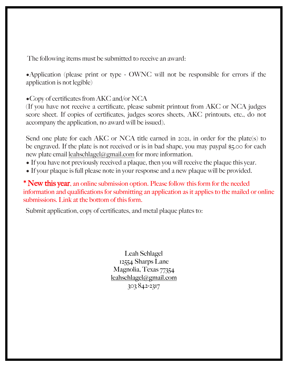The following items must be submitted to receive an award:

•Application (please print or type - OWNC will not be responsible for errors if the application is not legible)

•Copy of certificates from AKC and/or NCA

(If you have not receive a certificate, please submit printout from AKC or NCA judges score sheet. If copies of certificates, judges scores sheets, AKC printouts, etc., do not accompany the application, no award will be issued).

Send one plate for each AKC or NCA title earned in 2021, in order for the plate(s) to be engraved. If the plate is not received or is in bad shape, you may paypal \$5.00 for each new plate email [leahschlagel@gmail.com](mailto:leahschlagel@gmail.com) for more information.

- If you have not previously received a plaque, then you will receive the plaque this year.
- If your plaque is full please note in your response and a new plaque will be provided.

\* New this year, an online submission option. Please follow this form for the needed information and qualifications for submitting an application as it applies to the mailed or online submissions. Link at the bottom of this form.

Submit application, copy of certificates, and metal plaque plates to:

Leah Schlagel 12554 Sharps Lane Magnolia, Texas 77354 [leahschlagel@gmail.com](mailto:leahschlagel@gmail.com) 303 842-2317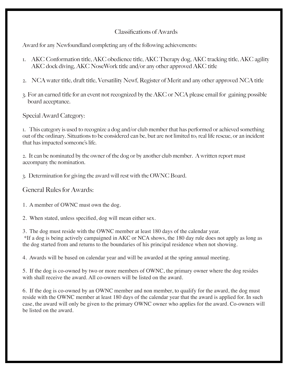## Classifications of Awards

Award for any Newfoundland completing any of the following achievements:

- 1. AKC Conformation title, AKC obedience title, AKC Therapy dog, AKC tracking title, AKC agility AKC dock diving, AKC NoseWork title and/or any other approved AKC title
- 2. NCA water title, draft title, Versatility Newf, Register of Merit and any other approved NCA title
- 3. For an earned title for an event not recognized by the AKC or NCA please email for gaining possible board acceptance.

Special Award Category:

1. This category is used to recognize a dog and/or club member that has performed or achieved something out of the ordinary. Situations to be considered can be, but are not limited to; real life rescue, or an incident that has impacted someone's life.

2. It can be nominated by the owner of the dog or by another club member. A written report must accompany the nomination.

3. Determination for giving the award will rest with the OWNC Board.

General Rules for Awards:

1. A member of OWNC must own the dog.

2. When stated, unless specified, dog will mean either sex.

3. The dog must reside with the OWNC member at least 180 days of the calendar year.

\*If a dog is being actively campaigned in AKC or NCA shows, the 180 day rule does not apply as long as the dog started from and returns to the boundaries of his principal residence when not showing.

4. Awards will be based on calendar year and will be awarded at the spring annual meeting.

5. If the dog is co-owned by two or more members of OWNC, the primary owner where the dog resides with shall receive the award. All co-owners will be listed on the award.

6. If the dog is co-owned by an OWNC member and non member, to qualify for the award, the dog must reside with the OWNC member at least 180 days of the calendar year that the award is applied for. In such case, the award will only be given to the primary OWNC owner who applies for the award. Co-owners will be listed on the award.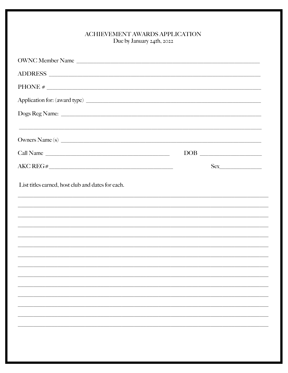## ${\bf \large \color{red} ACHIEVEMENT\color{black} AWARDS\color{black} APPLICATION}$ Due by January 24th, 2022

| OWNC Member Name                                                                                                                                                     |                                   |
|----------------------------------------------------------------------------------------------------------------------------------------------------------------------|-----------------------------------|
|                                                                                                                                                                      |                                   |
|                                                                                                                                                                      |                                   |
|                                                                                                                                                                      |                                   |
|                                                                                                                                                                      |                                   |
| ,我们就会在这里的人,我们就会在这里的人,我们就会在这里的人,我们就会在这里的人,我们就会在这里的人,我们就会在这里的人,我们就会在这里的人,我们就会在这里的人<br>第251章 我们的人,我们就会在这里的人,我们就会在这里的人,我们就会在这里的人,我们就会在这里的人,我们就会在这里的人,我们就会在这里的人,我们就会在这里,我 |                                   |
| Owners Name(s)                                                                                                                                                       |                                   |
| Call Name                                                                                                                                                            | $\boxed{\text{DOB}}_{\text{max}}$ |
| AKC REG#                                                                                                                                                             | Sex                               |
| List titles earned, host club and dates for each.                                                                                                                    |                                   |
| ,我们也不能在这里的,我们也不能在这里的,我们也不能在这里的,我们也不能不能不能不能不能不能不能不能不能不能。""我们,我们也不能不能不能不能不能不能不能不能不能                                                                                    |                                   |
|                                                                                                                                                                      |                                   |
|                                                                                                                                                                      |                                   |
|                                                                                                                                                                      |                                   |
|                                                                                                                                                                      |                                   |
|                                                                                                                                                                      |                                   |
|                                                                                                                                                                      |                                   |
|                                                                                                                                                                      |                                   |
|                                                                                                                                                                      |                                   |
|                                                                                                                                                                      |                                   |
|                                                                                                                                                                      |                                   |
|                                                                                                                                                                      |                                   |
|                                                                                                                                                                      |                                   |